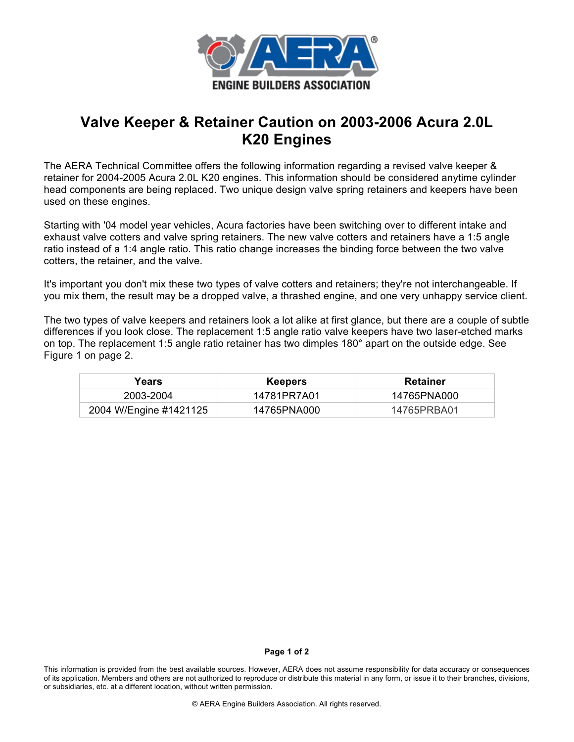

## **Valve Keeper & Retainer Caution on 2003-2006 Acura 2.0L K20 Engines**

The AERA Technical Committee offers the following information regarding a revised valve keeper & retainer for 2004-2005 Acura 2.0L K20 engines. This information should be considered anytime cylinder head components are being replaced. Two unique design valve spring retainers and keepers have been used on these engines.

Starting with '04 model year vehicles, Acura factories have been switching over to different intake and exhaust valve cotters and valve spring retainers. The new valve cotters and retainers have a 1:5 angle ratio instead of a 1:4 angle ratio. This ratio change increases the binding force between the two valve cotters, the retainer, and the valve.

It's important you don't mix these two types of valve cotters and retainers; they're not interchangeable. If you mix them, the result may be a dropped valve, a thrashed engine, and one very unhappy service client.

The two types of valve keepers and retainers look a lot alike at first glance, but there are a couple of subtle differences if you look close. The replacement 1:5 angle ratio valve keepers have two laser-etched marks on top. The replacement 1:5 angle ratio retainer has two dimples 180° apart on the outside edge. See Figure 1 on page 2.

| Years                  | <b>Keepers</b> | <b>Retainer</b> |
|------------------------|----------------|-----------------|
| 2003-2004              | 14781PR7A01    | 14765PNA000     |
| 2004 W/Engine #1421125 | 14765PNA000    | 14765PRBA01     |

## **Page 1 of 2**

This information is provided from the best available sources. However, AERA does not assume responsibility for data accuracy or consequences of its application. Members and others are not authorized to reproduce or distribute this material in any form, or issue it to their branches, divisions, or subsidiaries, etc. at a different location, without written permission.